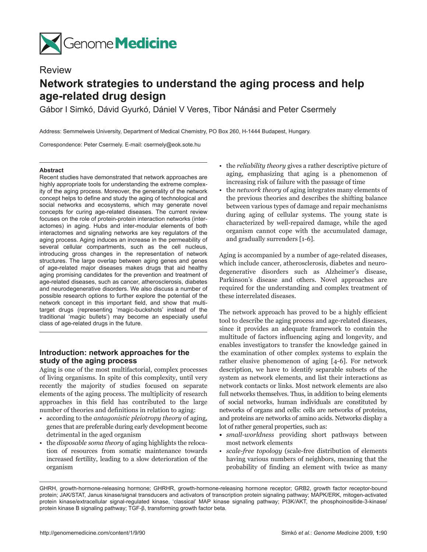

Review

# **Network strategies to understand the aging process and help age-related drug design**

Gábor I Simkó, Dávid Gyurkó, Dániel V Veres, Tibor Nánási and Peter Csermely

Address: Semmelweis University, Department of Medical Chemistry, PO Box 260, H-1444 Budapest, Hungary.

Correspondence: Peter Csermely. E-mail: csermely@eok.sote.hu

## **Abstract**

Recent studies have demonstrated that network approaches are highly appropriate tools for understanding the extreme complexity of the aging process. Moreover, the generality of the network concept helps to define and study the aging of technological and social networks and ecosystems, which may generate novel concepts for curing age-related diseases. The current review focuses on the role of protein-protein interaction networks (interactomes) in aging. Hubs and inter-modular elements of both interactomes and signaling networks are key regulators of the aging process. Aging induces an increase in the permeability of several cellular compartments, such as the cell nucleus, introducing gross changes in the representation of network structures. The large overlap between aging genes and genes of age-related major diseases makes drugs that aid healthy aging promising candidates for the prevention and treatment of age-related diseases, such as cancer, atherosclerosis, diabetes and neurodegenerative disorders. We also discuss a number of possible research options to further explore the potential of the network concept in this important field, and show that multitarget drugs (representing 'magic-buckshots' instead of the traditional 'magic bullets') may become an especially useful class of age-related drugs in the future.

# **Introduction: network approaches for the study of the aging process**

Aging is one of the most multifactorial, complex processes of living organisms. In spite of this complexity, until very recently the majority of studies focused on separate elements of the aging process. The multiplicity of research approaches in this field has contributed to the large number of theories and definitions in relation to aging:

- • according to the *antagonistic pleiotropy theory* of aging, genes that are preferable during early development become detrimental in the aged organism
- • the *disposable soma theory* of aging highlights the relocation of resources from somatic maintenance towards increased fertility, leading to a slow deterioration of the organism
- • the *reliability theory* gives a rather descriptive picture of aging, emphasizing that aging is a phenomenon of increasing risk of failure with the passage of time
- the *network theory* of aging integrates many elements of the previous theories and describes the shifting balance between various types of damage and repair mechanisms during aging of cellular systems. The young state is characterized by well-repaired damage, while the aged organism cannot cope with the accumulated damage, and gradually surrenders [1-6].

Aging is accompanied by a number of age-related diseases, which include cancer, atherosclerosis, diabetes and neurodegenerative disorders such as Alzheimer's disease, Parkinson's disease and others. Novel approaches are required for the understanding and complex treatment of these interrelated diseases.

The network approach has proved to be a highly efficient tool to describe the aging process and age-related diseases, since it provides an adequate framework to contain the multitude of factors influencing aging and longevity, and enables investigators to transfer the knowledge gained in the examination of other complex systems to explain the rather elusive phenomenon of aging [4-6]. For network description, we have to identify separable subsets of the system as network elements, and list their interactions as network contacts or links. Most network elements are also full networks themselves. Thus, in addition to being elements of social networks, human individuals are constituted by networks of organs and cells: cells are networks of proteins, and proteins are networks of amino acids. Networks display a lot of rather general properties, such as:

- *• small-worldness* providing short pathways between most network elements
- • *scale-free topology* (scale-free distribution of elements having various numbers of neighbors, meaning that the probability of finding an element with twice as many

GHRH, growth-hormone-releasing hormone; GHRHR, growth-hormone-releasing hormone receptor; GRB2, growth factor receptor-bound protein; JAK/STAT, Janus kinase/signal transducers and activators of transcription protein signaling pathway; MAPK/ERK, mitogen-activated protein kinase/extracellular signal-regulated kinase, 'classical' MAP kinase signaling pathway; PI3K/AKT, the phosphoinositide-3-kinase/ protein kinase B signaling pathway; TGF-β, transforming growth factor beta.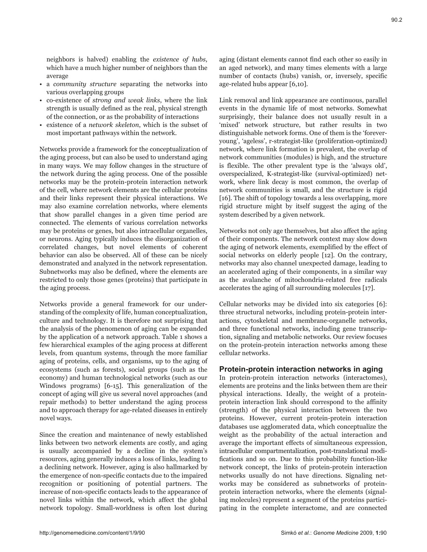neighbors is halved) enabling the *existence of hubs*, which have a much higher number of neighbors than the average

- • a *community structure* separating the networks into various overlapping groups
- • co-existence of *strong and weak links*, where the link strength is usually defined as the real, physical strength of the connection, or as the probability of interactions
- • existence of a *network skeleton*, which is the subset of most important pathways within the network.

Networks provide a framework for the conceptualization of the aging process, but can also be used to understand aging in many ways. We may follow changes in the structure of the network during the aging process. One of the possible networks may be the protein-protein interaction network of the cell, where network elements are the cellular proteins and their links represent their physical interactions. We may also examine correlation networks, where elements that show parallel changes in a given time period are connected. The elements of various correlation networks may be proteins or genes, but also intracellular organelles, or neurons. Aging typically induces the disorganization of correlated changes, but novel elements of coherent behavior can also be observed. All of these can be nicely demonstrated and analyzed in the network representation. Subnetworks may also be defined, where the elements are restricted to only those genes (proteins) that participate in the aging process.

Networks provide a general framework for our understanding of the complexity of life, human conceptualization, culture and technology. It is therefore not surprising that the analysis of the phenomenon of aging can be expanded by the application of a network approach. Table 1 shows a few hierarchical examples of the aging process at different levels, from quantum systems, through the more familiar aging of proteins, cells, and organisms, up to the aging of ecosystems (such as forests), social groups (such as the economy) and human technological networks (such as our Windows programs) [6-15]. This generalization of the concept of aging will give us several novel approaches (and repair methods) to better understand the aging process and to approach therapy for age-related diseases in entirely novel ways.

Since the creation and maintenance of newly established links between two network elements are costly, and aging is usually accompanied by a decline in the system's resources, aging generally induces a loss of links, leading to a declining network. However, aging is also hallmarked by the emergence of non-specific contacts due to the impaired recognition or positioning of potential partners. The increase of non-specific contacts leads to the appearance of novel links within the network, which affect the global network topology. Small-worldness is often lost during

aging (distant elements cannot find each other so easily in an aged network), and many times elements with a large number of contacts (hubs) vanish, or, inversely, specific age-related hubs appear [6,10].

Link removal and link appearance are continuous, parallel events in the dynamic life of most networks. Somewhat surprisingly, their balance does not usually result in a 'mixed' network structure, but rather results in two distinguishable network forms. One of them is the 'foreveryoung', 'ageless', r-strategist-like (proliferation-optimized) network, where link formation is prevalent, the overlap of network communities (modules) is high, and the structure is flexible. The other prevalent type is the 'always old', overspecialized, K-strategist-like (survival-optimized) network, where link decay is most common, the overlap of network communities is small, and the structure is rigid [16]. The shift of topology towards a less overlapping, more rigid structure might by itself suggest the aging of the system described by a given network.

Networks not only age themselves, but also affect the aging of their components. The network context may slow down the aging of network elements, exemplified by the effect of social networks on elderly people [12]. On the contrary, networks may also channel unexpected damage, leading to an accelerated aging of their components, in a similar way as the avalanche of mitochondria-related free radicals accelerates the aging of all surrounding molecules [17].

Cellular networks may be divided into six categories [6]: three structural networks, including protein-protein interactions, cytoskeletal and membrane-organelle networks, and three functional networks, including gene transcription, signaling and metabolic networks. Our review focuses on the protein-protein interaction networks among these cellular networks.

# **Protein-protein interaction networks in aging**

In protein-protein interaction networks (interactomes), elements are proteins and the links between them are their physical interactions. Ideally, the weight of a proteinprotein interaction link should correspond to the affinity (strength) of the physical interaction between the two proteins. However, current protein-protein interaction databases use agglomerated data, which conceptualize the weight as the probability of the actual interaction and average the important effects of simultaneous expression, intracellular compartmentalization, post-translational modifications and so on. Due to this probability function-like network concept, the links of protein-protein interaction networks usually do not have directions. Signaling networks may be considered as subnetworks of proteinprotein interaction networks, where the elements (signaling molecules) represent a segment of the proteins participating in the complete interactome, and are connected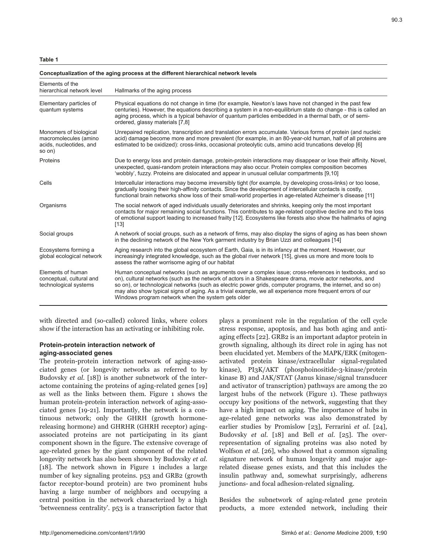#### **Table 1**

| Elements of the<br>hierarchical network level                                        | Hallmarks of the aging process                                                                                                                                                                                                                                                                                                                                                                                                                                                                         |
|--------------------------------------------------------------------------------------|--------------------------------------------------------------------------------------------------------------------------------------------------------------------------------------------------------------------------------------------------------------------------------------------------------------------------------------------------------------------------------------------------------------------------------------------------------------------------------------------------------|
| Elementary particles of<br>quantum systems                                           | Physical equations do not change in time (for example, Newton's laws have not changed in the past few<br>centuries). However, the equations describing a system in a non-equilibrium state do change - this is called an<br>aging process, which is a typical behavior of quantum particles embedded in a thermal bath, or of semi-<br>ordered, glassy materials [7,8]                                                                                                                                 |
| Monomers of biological<br>macromolecules (amino<br>acids, nucleotides, and<br>so on) | Unrepaired replication, transcription and translation errors accumulate. Various forms of protein (and nucleic<br>acid) damage become more and more prevalent (for example, in an 80-year-old human, half of all proteins are<br>estimated to be oxidized): cross-links, occasional proteolytic cuts, amino acid truncations develop [6]                                                                                                                                                               |
| Proteins                                                                             | Due to energy loss and protein damage, protein-protein interactions may disappear or lose their affinity. Novel,<br>unexpected, quasi-random protein interactions may also occur. Protein complex composition becomes<br>'wobbly', fuzzy. Proteins are dislocated and appear in unusual cellular compartments [9,10]                                                                                                                                                                                   |
| Cells                                                                                | Intercellular interactions may become irreversibly tight (for example, by developing cross-links) or too loose,<br>gradually loosing their high-affinity contacts. Since the development of intercellular contacts is costly,<br>functional brain networks show loss of their small-world properties in age-related Alzheimer's disease [11]                                                                                                                                                           |
| Organisms                                                                            | The social network of aged individuals usually deteriorates and shrinks, keeping only the most important<br>contacts for major remaining social functions. This contributes to age-related cognitive decline and to the loss<br>of emotional support leading to increased frailty [12]. Ecosystems like forests also show the hallmarks of aging<br>[13]                                                                                                                                               |
| Social groups                                                                        | A network of social groups, such as a network of firms, may also display the signs of aging as has been shown<br>in the declining network of the New York garment industry by Brian Uzzi and colleagues [14]                                                                                                                                                                                                                                                                                           |
| Ecosystems forming a<br>global ecological network                                    | Aging research into the global ecosystem of Earth, Gaia, is in its infancy at the moment. However, our<br>increasingly integrated knowledge, such as the global river network [15], gives us more and more tools to<br>assess the rather worrisome aging of our habitat                                                                                                                                                                                                                                |
| Elements of human<br>conceptual, cultural and<br>technological systems               | Human conceptual networks (such as arguments over a complex issue; cross-references in textbooks, and so<br>on), cultural networks (such as the network of actors in a Shakespeare drama, movie actor networks, and<br>so on), or technological networks (such as electric power grids, computer programs, the internet, and so on)<br>may also show typical signs of aging. As a trivial example, we all experience more frequent errors of our<br>Windows program network when the system gets older |

# **Conceptualization of the aging process at the different hierarchical network levels**

with directed and (so-called) colored links, where colors show if the interaction has an activating or inhibiting role.

# **Protein-protein interaction network of aging-associated genes**

The protein-protein interaction network of aging-associated genes (or longevity networks as referred to by Budovsky *et al.* [18]) is another subnetwork of the interactome containing the proteins of aging-related genes [19] as well as the links between them. Figure 1 shows the human protein-protein interaction network of aging-associated genes [19-21]. Importantly, the network is a continuous network; only the GHRH (growth hormonereleasing hormone) and GHRHR (GHRH receptor) agingassociated proteins are not participating in its giant component shown in the figure. The extensive coverage of age-related genes by the giant component of the related longevity network has also been shown by Budovsky *et al.* [18]. The network shown in Figure 1 includes a large number of key signaling proteins. p53 and GRB2 (growth factor receptor-bound protein) are two prominent hubs having a large number of neighbors and occupying a central position in the network characterized by a high 'betweenness centrality'. p53 is a transcription factor that

plays a prominent role in the regulation of the cell cycle stress response, apoptosis, and has both aging and antiaging effects [22]. GRB2 is an important adaptor protein in growth signaling, although its direct role in aging has not been elucidated yet. Members of the MAPK/ERK (mitogenactivated protein kinase/extracellular signal-regulated kinase), PI3K/AKT (phosphoinositide-3-kinase/protein kinase B) and JAK/STAT (Janus kinase/signal transducer and activator of transcription) pathways are among the 20 largest hubs of the network (Figure 1). These pathways occupy key positions of the network, suggesting that they have a high impact on aging. The importance of hubs in age-related gene networks was also demonstrated by earlier studies by Promislow [23], Ferrarini *et al*. [24], Budovsky *et al.* [18] and Bell *et al*. [25]. The overrepresentation of signaling proteins was also noted by Wolfson *et al.* [26], who showed that a common signaling signature network of human longevity and major agerelated disease genes exists, and that this includes the insulin pathway and, somewhat surprisingly, adherens junctions- and focal adhesion-related signaling.

Besides the subnetwork of aging-related gene protein products, a more extended network, including their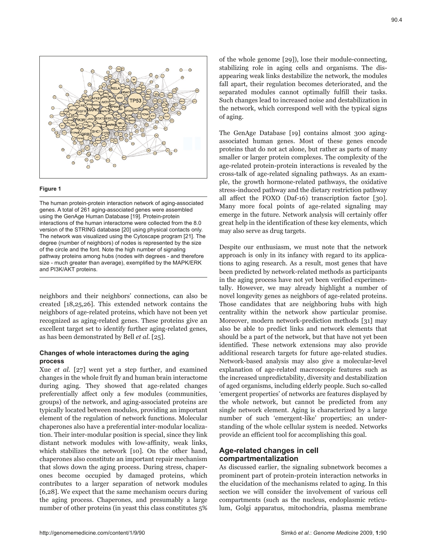

#### **Figure 1**

The human protein-protein interaction network of aging-associated genes. A total of 261 aging-associated genes were assembled using the GenAge Human Database [19]. Protein-protein interactions of the human interactome were collected from the 8.0 version of the STRING database [20] using physical contacts only. The network was visualized using the Cytoscape program [21]. The degree (number of neighbors) of nodes is represented by the size of the circle and the font. Note the high number of signaling pathway proteins among hubs (nodes with degrees - and therefore size - much greater than average), exemplified by the MAPK/ERK and PI3K/AKT proteins.

neighbors and their neighbors' connections, can also be created [18,25,26]. This extended network contains the neighbors of age-related proteins, which have not been yet recognized as aging-related genes. These proteins give an excellent target set to identify further aging-related genes, as has been demonstrated by Bell *et al.* [25].

## **Changes of whole interactomes during the aging process**

Xue *et al.* [27] went yet a step further, and examined changes in the whole fruit fly and human brain interactome during aging. They showed that age-related changes preferentially affect only a few modules (communities, groups) of the network, and aging-associated proteins are typically located between modules, providing an important element of the regulation of network functions. Molecular chaperones also have a preferential inter-modular localization. Their inter-modular position is special, since they link distant network modules with low-affinity, weak links, which stabilizes the network [10]. On the other hand, chaperones also constitute an important repair mechanism that slows down the aging process. During stress, chaperones become occupied by damaged proteins, which contributes to a larger separation of network modules [6,28]. We expect that the same mechanism occurs during the aging process. Chaperones, and presumably a large number of other proteins (in yeast this class constitutes 5%

of the whole genome [29]), lose their module-connecting, stabilizing role in aging cells and organisms. The disappearing weak links destabilize the network, the modules fall apart, their regulation becomes deteriorated, and the separated modules cannot optimally fulfill their tasks. Such changes lead to increased noise and destabilization in the network, which correspond well with the typical signs of aging.

The GenAge Database [19] contains almost 300 agingassociated human genes. Most of these genes encode proteins that do not act alone, but rather as parts of many smaller or larger protein complexes. The complexity of the age-related protein-protein interactions is revealed by the cross-talk of age-related signaling pathways. As an example, the growth hormone-related pathways, the oxidative stress-induced pathway and the dietary restriction pathway all affect the FOXO (Daf-16) transcription factor [30]. Many more focal points of age-related signaling may emerge in the future. Network analysis will certainly offer great help in the identification of these key elements, which may also serve as drug targets.

Despite our enthusiasm, we must note that the network approach is only in its infancy with regard to its applications to aging research. As a result, most genes that have been predicted by network-related methods as participants in the aging process have not yet been verified experimentally. However, we may already highlight a number of novel longevity genes as neighbors of age-related proteins. Those candidates that are neighboring hubs with high centrality within the network show particular promise. Moreover, modern network-prediction methods [31] may also be able to predict links and network elements that should be a part of the network, but that have not yet been identified. These network extensions may also provide additional research targets for future age-related studies. Network-based analysis may also give a molecular-level explanation of age-related macroscopic features such as the increased unpredictability, diversity and destabilization of aged organisms, including elderly people. Such so-called 'emergent properties' of networks are features displayed by the whole network, but cannot be predicted from any single network element. Aging is characterized by a large number of such 'emergent-like' properties; an understanding of the whole cellular system is needed. Networks provide an efficient tool for accomplishing this goal.

# **Age-related changes in cell compartmentalization**

As discussed earlier, the signaling subnetwork becomes a prominent part of protein-protein interaction networks in the elucidation of the mechanisms related to aging. In this section we will consider the involvement of various cell compartments (such as the nucleus, endoplasmic reticulum, Golgi apparatus, mitochondria, plasma membrane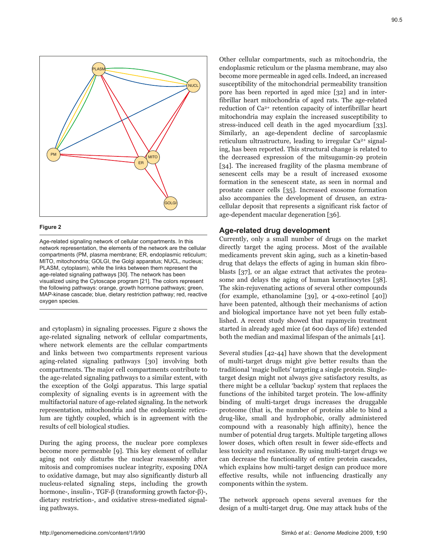

## **Figure 2**

Age-related signaling network of cellular compartments. In this network representation, the elements of the network are the cellular compartments (PM, plasma membrane; ER, endoplasmic reticulum; MITO, mitochondria; GOLGI, the Golgi apparatus; NUCL, nucleus; PLASM, cytoplasm), while the links between them represent the age-related signaling pathways [30]. The network has been visualized using the Cytoscape program [21]. The colors represent the following pathways: orange, growth hormone pathways; green, MAP-kinase cascade; blue, dietary restriction pathway; red, reactive oxygen species.

and cytoplasm) in signaling processes. Figure 2 shows the age-related signaling network of cellular compartments, where network elements are the cellular compartments and links between two compartments represent various aging-related signaling pathways [30] involving both compartments. The major cell compartments contribute to the age-related signaling pathways to a similar extent, with the exception of the Golgi apparatus. This large spatial complexity of signaling events is in agreement with the multifactorial nature of age-related signaling. In the network representation, mitochondria and the endoplasmic reticulum are tightly coupled, which is in agreement with the results of cell biological studies.

During the aging process, the nuclear pore complexes become more permeable [9]. This key element of cellular aging not only disturbs the nuclear reassembly after mitosis and compromises nuclear integrity, exposing DNA to oxidative damage, but may also significantly disturb all nucleus-related signaling steps, including the growth hormone-, insulin-, TGF-β (transforming growth factor-β)-, dietary restriction-, and oxidative stress-mediated signaling pathways.

Other cellular compartments, such as mitochondria, the endoplasmic reticulum or the plasma membrane, may also become more permeable in aged cells. Indeed, an increased susceptibility of the mitochondrial permeability transition pore has been reported in aged mice [32] and in interfibrillar heart mitochondria of aged rats. The age-related reduction of Ca2+ retention capacity of interfibrillar heart mitochondria may explain the increased susceptibility to stress-induced cell death in the aged myocardium [33]. Similarly, an age-dependent decline of sarcoplasmic reticulum ultrastructure, leading to irregular Ca<sup>2+</sup> signaling, has been reported. This structural change is related to the decreased expression of the mitsugumin-29 protein [34]. The increased fragility of the plasma membrane of senescent cells may be a result of increased exosome formation in the senescent state, as seen in normal and prostate cancer cells [35]. Increased exosome formation also accompanies the development of drusen, an extracellular deposit that represents a significant risk factor of age-dependent macular degeneration [36].

# **Age-related drug development**

Currently, only a small number of drugs on the market directly target the aging process. Most of the available medicaments prevent skin aging, such as a kinetin-based drug that delays the effects of aging in human skin fibroblasts [37], or an algae extract that activates the proteasome and delays the aging of human keratinocytes [38]. The skin-rejuvenating actions of several other compounds (for example, ethanolamine [39], or 4-oxo-retinol [40]) have been patented, although their mechanisms of action and biological importance have not yet been fully established. A recent study showed that rapamycin treatment started in already aged mice (at 600 days of life) extended both the median and maximal lifespan of the animals [41].

Several studies [42-44] have shown that the development of multi-target drugs might give better results than the traditional 'magic bullets' targeting a single protein. Singletarget design might not always give satisfactory results, as there might be a cellular 'backup' system that replaces the functions of the inhibited target protein. The low-affinity binding of multi-target drugs increases the druggable proteome (that is, the number of proteins able to bind a drug-like, small and hydrophobic, orally administered compound with a reasonably high affinity), hence the number of potential drug targets. Multiple targeting allows lower doses, which often result in fewer side-effects and less toxicity and resistance. By using multi-target drugs we can decrease the functionality of entire protein cascades, which explains how multi-target design can produce more effective results, while not influencing drastically any components within the system.

The network approach opens several avenues for the design of a multi-target drug. One may attack hubs of the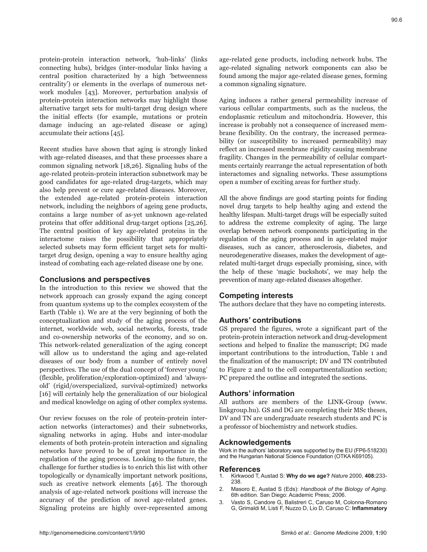protein-protein interaction network, 'hub-links' (links connecting hubs), bridges (inter-modular links having a central position characterized by a high 'betweenness centrality') or elements in the overlaps of numerous network modules [43]. Moreover, perturbation analysis of protein-protein interaction networks may highlight those alternative target sets for multi-target drug design where the initial effects (for example, mutations or protein damage inducing an age-related disease or aging) accumulate their actions [45].

Recent studies have shown that aging is strongly linked with age-related diseases, and that these processes share a common signaling network [18,26]. Signaling hubs of the age-related protein-protein interaction subnetwork may be good candidates for age-related drug-targets, which may also help prevent or cure age-related diseases. Moreover, the extended age-related protein-protein interaction network, including the neighbors of ageing gene products, contains a large number of as-yet unknown age-related proteins that offer additional drug-target options [25,26]. The central position of key age-related proteins in the interactome raises the possibility that appropriately selected subsets may form efficient target sets for multitarget drug design, opening a way to ensure healthy aging instead of combating each age-related disease one by one.

# **Conclusions and perspectives**

In the introduction to this review we showed that the network approach can grossly expand the aging concept from quantum systems up to the complex ecosystem of the Earth (Table 1). We are at the very beginning of both the conceptualization and study of the aging process of the internet, worldwide web, social networks, forests, trade and co-ownership networks of the economy, and so on. This network-related generalization of the aging concept will allow us to understand the aging and age-related diseases of our body from a number of entirely novel perspectives. The use of the dual concept of 'forever young' (flexible, proliferation/exploration-optimized) and 'alwaysold' (rigid/overspecialized, survival-optimized) networks [16] will certainly help the generalization of our biological and medical knowledge on aging of other complex systems.

Our review focuses on the role of protein-protein interaction networks (interactomes) and their subnetworks, signaling networks in aging. Hubs and inter-modular elements of both protein-protein interaction and signaling networks have proved to be of great importance in the regulation of the aging process. Looking to the future, the challenge for further studies is to enrich this list with other topologically or dynamically important network positions, such as creative network elements [46]. The thorough analysis of age-related network positions will increase the accuracy of the prediction of novel age-related genes. Signaling proteins are highly over-represented among age-related gene products, including network hubs. The age-related signaling network components can also be found among the major age-related disease genes, forming a common signaling signature.

Aging induces a rather general permeability increase of various cellular compartments, such as the nucleus, the endoplasmic reticulum and mitochondria. However, this increase is probably not a consequence of increased membrane flexibility. On the contrary, the increased permeability (or susceptibility to increased permeability) may reflect an increased membrane rigidity causing membrane fragility. Changes in the permeability of cellular compartments certainly rearrange the actual representation of both interactomes and signaling networks. These assumptions open a number of exciting areas for further study.

All the above findings are good starting points for finding novel drug targets to help healthy aging and extend the healthy lifespan. Multi-target drugs will be especially suited to address the extreme complexity of aging. The large overlap between network components participating in the regulation of the aging process and in age-related major diseases, such as cancer, atherosclerosis, diabetes, and neurodegenerative diseases, makes the development of agerelated multi-target drugs especially promising, since, with the help of these 'magic buckshots', we may help the prevention of many age-related diseases altogether.

## **Competing interests**

The authors declare that they have no competing interests.

# **Authors' contributions**

GS prepared the figures, wrote a significant part of the protein-protein interaction network and drug-development sections and helped to finalize the manuscript; DG made important contributions to the introduction, Table 1 and the finalization of the manuscript; DV and TN contributed to Figure 2 and to the cell compartmentalization section; PC prepared the outline and integrated the sections.

## **Authors' information**

All authors are members of the LINK-Group (www. linkgroup.hu). GS and DG are completing their MSc theses, DV and TN are undergraduate research students and PC is a professor of biochemistry and network studies.

## **Acknowledgements**

Work in the authors' laboratory was supported by the EU (FP6-518230) and the Hungarian National Science Foundation (OTKA K69105).

#### **References**

- 1. Kirkwood T, Austad S: **Why do we age?** *Nature* 2000, **408:**233-238.
- 2. Masoro E, Austad S (Eds): *Handbook of the Biology of Aging*. 6th edition. San Diego: Academic Press; 2006.
- 3. Vasto S, Candore G, Balistreri C, Caruso M, Colonna-Romano G, Grimaldi M, Listi F, Nuzzo D, Lio D, Caruso C: **Inflammatory**